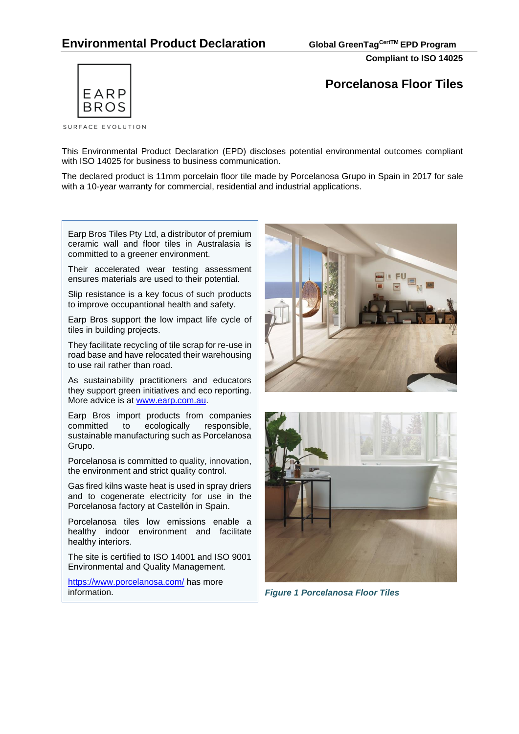# **Environmental Product Declaration Global GreenTagCertTM EPD Program**

**Compliant to ISO 14025**



**Porcelanosa Floor Tiles**

This Environmental Product Declaration (EPD) discloses potential environmental outcomes compliant with ISO 14025 for business to business communication.

The declared product is 11mm porcelain floor tile made by Porcelanosa Grupo in Spain in 2017 for sale with a 10-year warranty for commercial, residential and industrial applications.

Earp Bros Tiles Pty Ltd, a distributor of premium ceramic wall and floor tiles in Australasia is committed to a greener environment.

Their accelerated wear testing assessment ensures materials are used to their potential.

Slip resistance is a key focus of such products to improve occupantional health and safety.

Earp Bros support the low impact life cycle of tiles in building projects.

They facilitate recycling of tile scrap for re-use in road base and have relocated their warehousing to use rail rather than road.

As sustainability practitioners and educators they support [green initiatives](http://www.earp.com.au/ecotech.php?page=green) and eco reporting. More advice is at [www.earp.com.au.](http://www.earp.com.au/)

Earp Bros import products from companies<br>committed to ecologically responsible. committed to ecologically sustainable manufacturing such as Porcelanosa Grupo.

Porcelanosa is committed to quality, innovation, the environment and strict quality control.

Gas fired kilns waste heat is used in spray driers and to cogenerate electricity for use in the Porcelanosa factory at Castellón in Spain.

Porcelanosa tiles low emissions enable a healthy indoor environment and facilitate healthy interiors.

The site is certified to ISO 14001 and ISO 9001 Environmental and Quality Management.

<https://www.porcelanosa.com/> has more information.





*Figure 1 Porcelanosa Floor Tiles*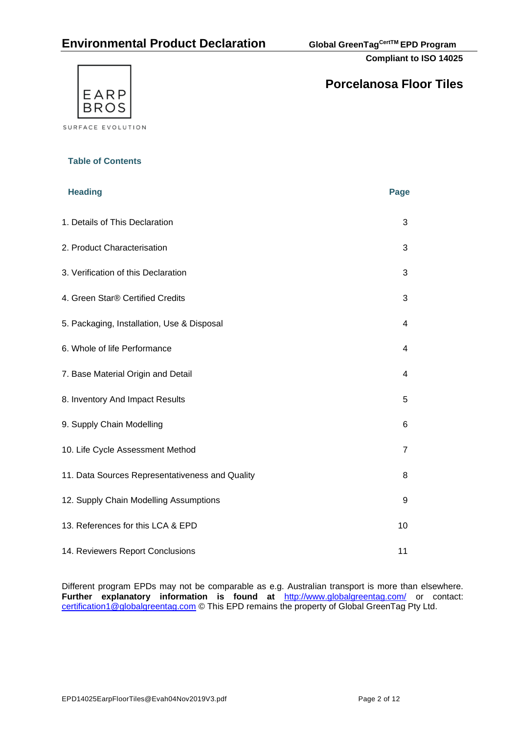# **Environmental Product Declaration Global GreenTagCertTM EPD Program**

**Compliant to ISO 14025**



# **Porcelanosa Floor Tiles**

**Table of Contents**

| <b>Heading</b>                                  | Page |
|-------------------------------------------------|------|
| 1. Details of This Declaration                  | 3    |
| 2. Product Characterisation                     | 3    |
| 3. Verification of this Declaration             | 3    |
| 4. Green Star® Certified Credits                | 3    |
| 5. Packaging, Installation, Use & Disposal      | 4    |
| 6. Whole of life Performance                    | 4    |
| 7. Base Material Origin and Detail              | 4    |
| 8. Inventory And Impact Results                 | 5    |
| 9. Supply Chain Modelling                       | 6    |
| 10. Life Cycle Assessment Method                | 7    |
| 11. Data Sources Representativeness and Quality | 8    |
| 12. Supply Chain Modelling Assumptions          | 9    |
| 13. References for this LCA & EPD               | 10   |
| 14. Reviewers Report Conclusions                | 11   |

Different program EPDs may not be comparable as e.g. Australian transport is more than elsewhere. **Further explanatory information is found at** <http://www.globalgreentag.com/> or contact: [certification1@globalgreentag.com](mailto:certification1@globalgreentag.com) © This EPD remains the property of Global GreenTag Pty Ltd.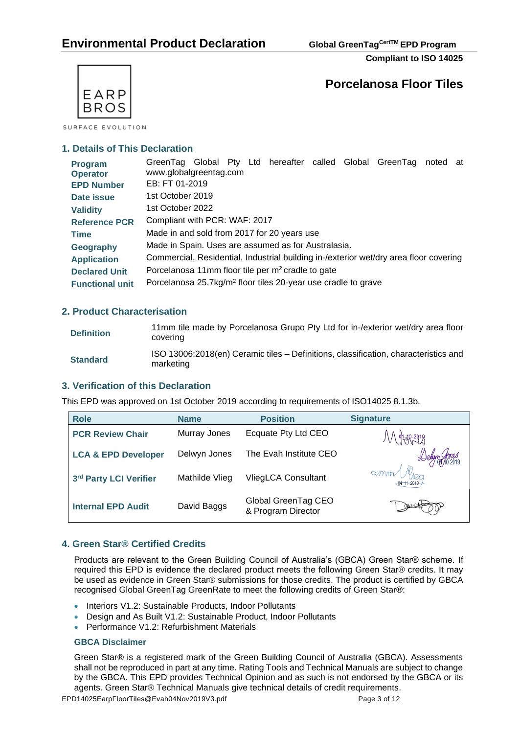**Compliant to ISO 14025**



SURFACE EVOLUTION

## **1. Details of This Declaration**

| Program<br><b>Operator</b> | GreenTag Global Pty Ltd hereafter called Global GreenTag<br>noted at<br>www.globalgreentag.com |
|----------------------------|------------------------------------------------------------------------------------------------|
| <b>EPD Number</b>          | EB: FT 01-2019                                                                                 |
| Date issue                 | 1st October 2019                                                                               |
| <b>Validity</b>            | 1st October 2022                                                                               |
| <b>Reference PCR</b>       | Compliant with PCR: WAF: 2017                                                                  |
| <b>Time</b>                | Made in and sold from 2017 for 20 years use                                                    |
| Geography                  | Made in Spain. Uses are assumed as for Australasia.                                            |
| <b>Application</b>         | Commercial, Residential, Industrial building in-/exterior wet/dry area floor covering          |
| <b>Declared Unit</b>       | Porcelanosa 11mm floor tile per m <sup>2</sup> cradle to gate                                  |
| <b>Functional unit</b>     | Porcelanosa 25.7kg/m <sup>2</sup> floor tiles 20-year use cradle to grave                      |

## **2. Product Characterisation**

| <b>Definition</b> | 11mm tile made by Porcelanosa Grupo Pty Ltd for in-/exterior wet/dry area floor<br>covering      |
|-------------------|--------------------------------------------------------------------------------------------------|
| <b>Standard</b>   | ISO 13006:2018(en) Ceramic tiles - Definitions, classification, characteristics and<br>marketing |

## **3. Verification of this Declaration**

This EPD was approved on 1st October 2019 according to requirements of ISO14025 8.1.3b.

| <b>Role</b>                    | <b>Name</b>    | <b>Position</b>                           | <b>Signature</b>              |
|--------------------------------|----------------|-------------------------------------------|-------------------------------|
| <b>PCR Review Chair</b>        | Murray Jones   | Ecquate Pty Ltd CEO                       | /V\ %\*3%                     |
| <b>LCA &amp; EPD Developer</b> | Delwyn Jones   | The Evah Institute CEO                    |                               |
| 3rd Party LCI Verifier         | Mathilde Vlieg | VliegLCA Consultant                       | amm Vleg<br>$-04 - 11 - 2019$ |
| <b>Internal EPD Audit</b>      | David Baggs    | Global GreenTag CEO<br>& Program Director |                               |

## **4. Green Star® Certified Credits**

Products are relevant to the Green Building Council of Australia's (GBCA) Green Star® scheme. If required this EPD is evidence the declared product meets the following Green Star® credits. It may be used as evidence in Green Star® submissions for those credits. The product is certified by GBCA recognised Global GreenTag GreenRate to meet the following credits of Green Star®:

- Interiors V1.2: Sustainable Products, Indoor Pollutants
- Design and As Built V1.2: Sustainable Product, Indoor Pollutants
- Performance V1.2: Refurbishment Materials

#### **[GBCA Disclaimer](http://www.ecospecifier.com.au/rating-tools/gbca-disclaimer/gbca-disclaimer.aspx)**

Green Star® is a registered mark of the Green Building Council of Australia (GBCA). Assessments shall not be reproduced in part at any time. Rating Tools and Technical Manuals are subject to change by the GBCA. This EPD provides Technical Opinion and as such is not endorsed by the GBCA or its agents. Green Star® Technical Manuals give technical details of credit requirements.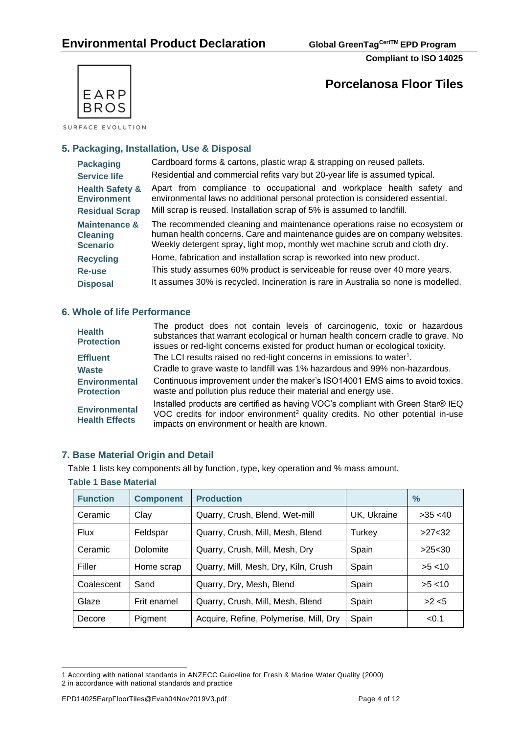



SURFACE EVOLUTION

## **5. Packaging, Installation, Use & Disposal**

| <b>Packaging</b>                                                                                                                  | Cardboard forms & cartons, plastic wrap & strapping on reused pallets.<br>Residential and commercial refits vary but 20-year life is assumed typical.                                                                                   |  |  |  |  |  |  |  |
|-----------------------------------------------------------------------------------------------------------------------------------|-----------------------------------------------------------------------------------------------------------------------------------------------------------------------------------------------------------------------------------------|--|--|--|--|--|--|--|
| <b>Service life</b>                                                                                                               | Apart from compliance to occupational and workplace health safety and                                                                                                                                                                   |  |  |  |  |  |  |  |
| <b>Health Safety &amp;</b><br>environmental laws no additional personal protection is considered essential.<br><b>Environment</b> |                                                                                                                                                                                                                                         |  |  |  |  |  |  |  |
| Mill scrap is reused. Installation scrap of 5% is assumed to landfill.<br><b>Residual Scrap</b>                                   |                                                                                                                                                                                                                                         |  |  |  |  |  |  |  |
| <b>Maintenance &amp;</b><br><b>Cleaning</b><br><b>Scenario</b>                                                                    | The recommended cleaning and maintenance operations raise no ecosystem or<br>human health concerns. Care and maintenance guides are on company websites.<br>Weekly detergent spray, light mop, monthly wet machine scrub and cloth dry. |  |  |  |  |  |  |  |
| <b>Recycling</b>                                                                                                                  | Home, fabrication and installation scrap is reworked into new product.                                                                                                                                                                  |  |  |  |  |  |  |  |
| Re-use                                                                                                                            | This study assumes 60% product is serviceable for reuse over 40 more years.                                                                                                                                                             |  |  |  |  |  |  |  |
| <b>Disposal</b>                                                                                                                   | It assumes 30% is recycled. Incineration is rare in Australia so none is modelled.                                                                                                                                                      |  |  |  |  |  |  |  |

## **6. Whole of life Performance**

| <b>Health</b><br><b>Protection</b>            | The product does not contain levels of carcinogenic, toxic or hazardous<br>substances that warrant ecological or human health concern cradle to grave. No<br>issues or red-light concerns existed for product human or ecological toxicity. |
|-----------------------------------------------|---------------------------------------------------------------------------------------------------------------------------------------------------------------------------------------------------------------------------------------------|
| <b>Effluent</b>                               | The LCI results raised no red-light concerns in emissions to water <sup>1</sup> .                                                                                                                                                           |
| <b>Waste</b>                                  | Cradle to grave waste to landfill was 1% hazardous and 99% non-hazardous.                                                                                                                                                                   |
| <b>Environmental</b><br><b>Protection</b>     | Continuous improvement under the maker's ISO14001 EMS aims to avoid toxics,<br>waste and pollution plus reduce their material and energy use.                                                                                               |
| <b>Environmental</b><br><b>Health Effects</b> | Installed products are certified as having VOC's compliant with Green Star® IEQ<br>VOC credits for indoor environment <sup>2</sup> quality credits. No other potential in-use<br>impacts on environment or health are known.                |

## **7. Base Material Origin and Detail**

Table 1 lists key components all by function, type, key operation and % mass amount.

| <b>Table 1 Base Material</b> |                  |                                        |             |          |  |  |  |  |
|------------------------------|------------------|----------------------------------------|-------------|----------|--|--|--|--|
| <b>Function</b>              | <b>Component</b> | <b>Production</b>                      |             | $\%$     |  |  |  |  |
| Ceramic                      | Clay             | Quarry, Crush, Blend, Wet-mill         | UK, Ukraine | >35 < 40 |  |  |  |  |
| Flux                         | Feldspar         | Quarry, Crush, Mill, Mesh, Blend       | Turkey      | >27<32   |  |  |  |  |
| Ceramic                      | Dolomite         | Quarry, Crush, Mill, Mesh, Dry         | Spain       | >25<30   |  |  |  |  |
| Filler                       | Home scrap       | Quarry, Mill, Mesh, Dry, Kiln, Crush   | Spain       | >5 < 10  |  |  |  |  |
| Coalescent                   | Sand             | Quarry, Dry, Mesh, Blend               | Spain       | >5 < 10  |  |  |  |  |
| Glaze                        | Frit enamel      | Quarry, Crush, Mill, Mesh, Blend       | Spain       | >2 < 5   |  |  |  |  |
| Decore                       | Pigment          | Acquire, Refine, Polymerise, Mill, Dry | Spain       | < 0.1    |  |  |  |  |

<sup>1</sup> According with national standards in ANZECC Guideline for Fresh & Marine Water Quality (2000) 2 in accordance with national standards and practice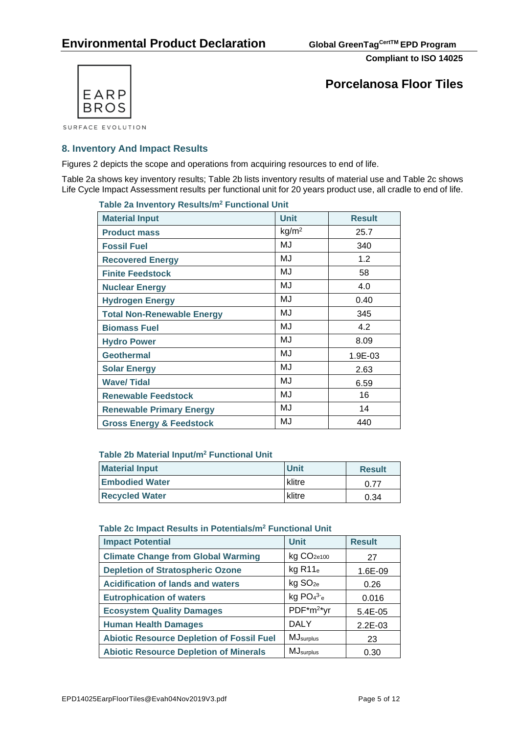

**Porcelanosa Floor Tiles**

## **8. Inventory And Impact Results**

Figures 2 depicts the scope and operations from acquiring resources to end of life.

Table 2a shows key inventory results; Table 2b lists inventory results of material use and Table 2c shows Life Cycle Impact Assessment results per functional unit for 20 years product use, all cradle to end of life.

| Table 2a Inventory Results/m <sup>2</sup> Functional Unit |                   |               |  |  |  |  |  |
|-----------------------------------------------------------|-------------------|---------------|--|--|--|--|--|
| <b>Material Input</b>                                     | <b>Unit</b>       | <b>Result</b> |  |  |  |  |  |
| <b>Product mass</b>                                       | kg/m <sup>2</sup> | 25.7          |  |  |  |  |  |
| <b>Fossil Fuel</b>                                        | MJ                | 340           |  |  |  |  |  |
| <b>Recovered Energy</b>                                   | MJ                | 1.2           |  |  |  |  |  |
| <b>Finite Feedstock</b>                                   | MJ                | 58            |  |  |  |  |  |
| <b>Nuclear Energy</b>                                     | MJ                | 4.0           |  |  |  |  |  |
| <b>Hydrogen Energy</b>                                    | MJ                | 0.40          |  |  |  |  |  |
| <b>Total Non-Renewable Energy</b>                         | MJ                | 345           |  |  |  |  |  |
| <b>Biomass Fuel</b>                                       | MJ                | 4.2           |  |  |  |  |  |
| <b>Hydro Power</b>                                        | MJ                | 8.09          |  |  |  |  |  |
| <b>Geothermal</b>                                         | MJ                | 1.9E-03       |  |  |  |  |  |
| <b>Solar Energy</b>                                       | MJ                | 2.63          |  |  |  |  |  |
| <b>Wave/Tidal</b>                                         | MJ                | 6.59          |  |  |  |  |  |
| <b>Renewable Feedstock</b>                                | MJ                | 16            |  |  |  |  |  |
| <b>Renewable Primary Energy</b>                           | MJ                | 14            |  |  |  |  |  |
| <b>Gross Energy &amp; Feedstock</b>                       | MJ                | 440           |  |  |  |  |  |

#### **Table 2b Material Input/m<sup>2</sup> Functional Unit**

| <b>Material Input</b> | <b>Unit</b> | <b>Result</b> |
|-----------------------|-------------|---------------|
| <b>Embodied Water</b> | klitre      | 0.77          |
| <b>Recycled Water</b> | klitre      | 0.34          |

#### **Table 2c Impact Results in Potentials/m<sup>2</sup> Functional Unit**

| <b>Impact Potential</b>                          | <b>Unit</b>            | <b>Result</b> |
|--------------------------------------------------|------------------------|---------------|
| <b>Climate Change from Global Warming</b>        | kg CO <sub>2e100</sub> | 27            |
| <b>Depletion of Stratospheric Ozone</b>          | $kg$ R11 $_e$          | 1.6E-09       |
| <b>Acidification of lands and waters</b>         | kg SO <sub>2e</sub>    | 0.26          |
| <b>Eutrophication of waters</b>                  | $kg PO43-e$            | 0.016         |
| <b>Ecosystem Quality Damages</b>                 | PDF*m <sup>2*</sup> yr | $5.4E - 0.5$  |
| <b>Human Health Damages</b>                      | <b>DALY</b>            | $2.2E-03$     |
| <b>Abiotic Resource Depletion of Fossil Fuel</b> | <b>MJ</b> surplus      | 23            |
| <b>Abiotic Resource Depletion of Minerals</b>    | <b>MJ</b> surplus      | 0.30          |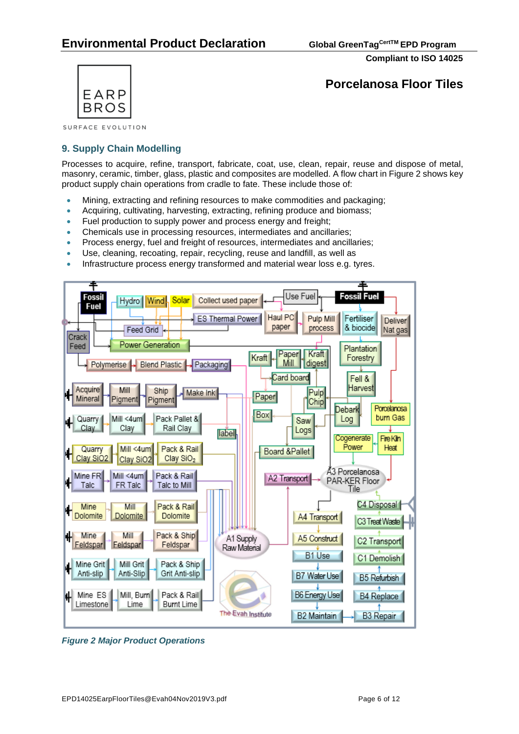

**Porcelanosa Floor Tiles**

SURFACE EVOLUTION

## **9. Supply Chain Modelling**

Processes to acquire, refine, transport, fabricate, coat, use, clean, repair, reuse and dispose of metal, masonry, ceramic, timber, glass, plastic and composites are modelled. A flow chart in Figure 2 shows key product supply chain operations from cradle to fate. These include those of:

- Mining, extracting and refining resources to make commodities and packaging;
- Acquiring, cultivating, harvesting, extracting, refining produce and biomass;
- Fuel production to supply power and process energy and freight;
- Chemicals use in processing resources, intermediates and ancillaries;
- Process energy, fuel and freight of resources, intermediates and ancillaries;
- Use, cleaning, recoating, repair, recycling, reuse and landfill, as well as
- Infrastructure process energy transformed and material wear loss e.g. tyres.



*Figure 2 Major Product Operations*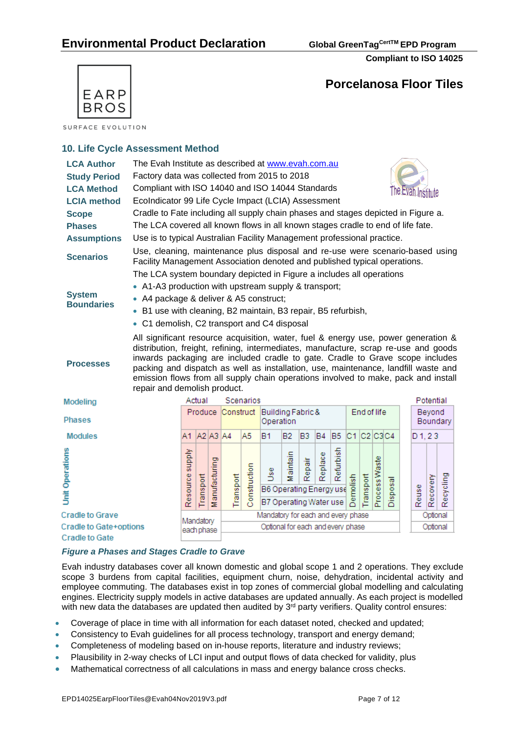

# **Porcelanosa Floor Tiles**

SURFACE EVOLUTION

## **10. Life Cycle Assessment Method**

| <b>LCA Author</b>      | The Evah Institute as described at www.evah.com.au                                                                                                                                                                                                                                                                                                                                                                                                                     |           |                   |           |                   |                                                              |                                    |           |                |                |                |            |               |          |       |           |           |          |
|------------------------|------------------------------------------------------------------------------------------------------------------------------------------------------------------------------------------------------------------------------------------------------------------------------------------------------------------------------------------------------------------------------------------------------------------------------------------------------------------------|-----------|-------------------|-----------|-------------------|--------------------------------------------------------------|------------------------------------|-----------|----------------|----------------|----------------|------------|---------------|----------|-------|-----------|-----------|----------|
| <b>Study Period</b>    | Factory data was collected from 2015 to 2018                                                                                                                                                                                                                                                                                                                                                                                                                           |           |                   |           |                   |                                                              |                                    |           |                |                |                |            |               |          |       |           |           |          |
| <b>LCA Method</b>      | Compliant with ISO 14040 and ISO 14044 Standards<br>The Evan Institute                                                                                                                                                                                                                                                                                                                                                                                                 |           |                   |           |                   |                                                              |                                    |           |                |                |                |            |               |          |       |           |           |          |
| <b>LCIA</b> method     | EcoIndicator 99 Life Cycle Impact (LCIA) Assessment                                                                                                                                                                                                                                                                                                                                                                                                                    |           |                   |           |                   |                                                              |                                    |           |                |                |                |            |               |          |       |           |           |          |
| <b>Scope</b>           | Cradle to Fate including all supply chain phases and stages depicted in Figure a.                                                                                                                                                                                                                                                                                                                                                                                      |           |                   |           |                   |                                                              |                                    |           |                |                |                |            |               |          |       |           |           |          |
| <b>Phases</b>          | The LCA covered all known flows in all known stages cradle to end of life fate.                                                                                                                                                                                                                                                                                                                                                                                        |           |                   |           |                   |                                                              |                                    |           |                |                |                |            |               |          |       |           |           |          |
| <b>Assumptions</b>     | Use is to typical Australian Facility Management professional practice.                                                                                                                                                                                                                                                                                                                                                                                                |           |                   |           |                   |                                                              |                                    |           |                |                |                |            |               |          |       |           |           |          |
| <b>Scenarios</b>       | Use, cleaning, maintenance plus disposal and re-use were scenario-based using<br>Facility Management Association denoted and published typical operations.                                                                                                                                                                                                                                                                                                             |           |                   |           |                   |                                                              |                                    |           |                |                |                |            |               |          |       |           |           |          |
|                        | The LCA system boundary depicted in Figure a includes all operations                                                                                                                                                                                                                                                                                                                                                                                                   |           |                   |           |                   |                                                              |                                    |           |                |                |                |            |               |          |       |           |           |          |
| <b>System</b>          | • A1-A3 production with upstream supply & transport;                                                                                                                                                                                                                                                                                                                                                                                                                   |           |                   |           |                   |                                                              |                                    |           |                |                |                |            |               |          |       |           |           |          |
| <b>Boundaries</b>      | • A4 package & deliver & A5 construct;                                                                                                                                                                                                                                                                                                                                                                                                                                 |           |                   |           |                   |                                                              |                                    |           |                |                |                |            |               |          |       |           |           |          |
|                        | • B1 use with cleaning, B2 maintain, B3 repair, B5 refurbish,                                                                                                                                                                                                                                                                                                                                                                                                          |           |                   |           |                   |                                                              |                                    |           |                |                |                |            |               |          |       |           |           |          |
|                        | • C1 demolish, C2 transport and C4 disposal                                                                                                                                                                                                                                                                                                                                                                                                                            |           |                   |           |                   |                                                              |                                    |           |                |                |                |            |               |          |       |           |           |          |
| <b>Processes</b>       | All significant resource acquisition, water, fuel & energy use, power generation &<br>distribution, freight, refining, intermediates, manufacture, scrap re-use and goods<br>inwards packaging are included cradle to gate. Cradle to Grave scope includes<br>packing and dispatch as well as installation, use, maintenance, landfill waste and<br>emission flows from all supply chain operations involved to make, pack and install<br>repair and demolish product. |           |                   |           |                   |                                                              |                                    |           |                |                |                |            |               |          |       |           |           |          |
| Modeling               |                                                                                                                                                                                                                                                                                                                                                                                                                                                                        |           | Actual            |           | Scenarios         |                                                              |                                    |           |                |                |                |            |               |          |       |           | Potential |          |
| <b>Phases</b>          |                                                                                                                                                                                                                                                                                                                                                                                                                                                                        |           |                   |           | Produce Construct |                                                              | Building Fabric &<br>Operation     |           |                |                |                |            | End of life   |          |       |           | Beyond    | Boundary |
| <b>Modules</b>         |                                                                                                                                                                                                                                                                                                                                                                                                                                                                        | A1        | A2 A3 A4          |           |                   | A5                                                           | B1                                 | <b>B2</b> | B <sub>3</sub> | B <sub>4</sub> | B <sub>5</sub> | C1 C2 C3C4 |               |          |       | $D_1, 23$ |           |          |
| <b>Unit Operations</b> | Resource supply                                                                                                                                                                                                                                                                                                                                                                                                                                                        | Transport | anufacturing<br>ž | Transport | Construction      | se<br>D<br>B6 Operating Energy use<br>B7 Operating Water use | Maintain                           | Repair    | Replace        | Refurbish      | Demolish       | Transport  | Process Waste | Disposal | Reuse | Recovery  | Recycling |          |
| <b>Cradle to Grave</b> |                                                                                                                                                                                                                                                                                                                                                                                                                                                                        | Mandatory |                   |           |                   |                                                              | Mandatory for each and every phase |           |                |                |                |            |               |          |       |           | Optional  |          |
| Cradle to Gate+options |                                                                                                                                                                                                                                                                                                                                                                                                                                                                        |           | each phase        |           |                   |                                                              | Optional for each and every phase  |           |                |                |                |            |               |          |       |           | Optional  |          |
| <b>Cradle to Gate</b>  |                                                                                                                                                                                                                                                                                                                                                                                                                                                                        |           |                   |           |                   |                                                              |                                    |           |                |                |                |            |               |          |       |           |           |          |

## *Figure a Phases and Stages Cradle to Grave*

Evah industry databases cover all known domestic and global scope 1 and 2 operations. They exclude scope 3 burdens from capital facilities, equipment churn, noise, dehydration, incidental activity and employee commuting. The databases exist in top zones of commercial global modelling and calculating engines. Electricity supply models in active databases are updated annually. As each project is modelled with new data the databases are updated then audited by  $3<sup>rd</sup>$  party verifiers. Quality control ensures:

- Coverage of place in time with all information for each dataset noted, checked and updated;
- Consistency to Evah guidelines for all process technology, transport and energy demand;
- Completeness of modeling based on in-house reports, literature and industry reviews;
- Plausibility in 2-way checks of LCI input and output flows of data checked for validity, plus
- Mathematical correctness of all calculations in mass and energy balance cross checks.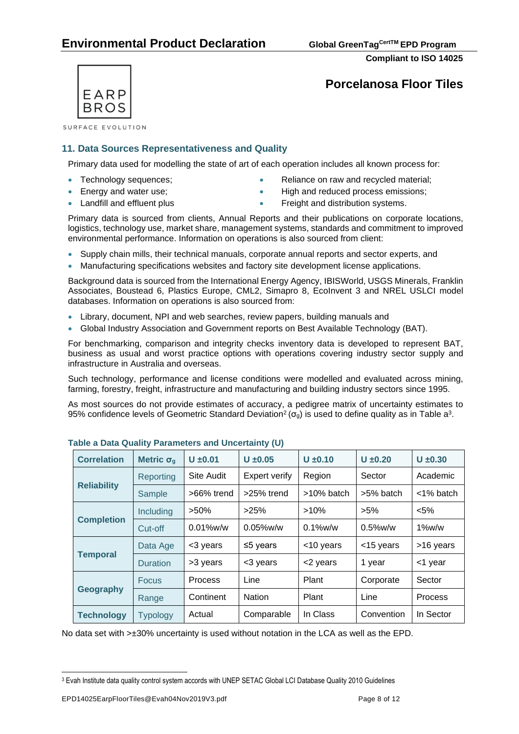**Compliant to ISO 14025**



SURFACE EVOLUTION

## **11. Data Sources Representativeness and Quality**

Primary data used for modelling the state of art of each operation includes all known process for:

- 
- 
- Technology sequences; • Reliance on raw and recycled material;
- Energy and water use; example and reduced process emissions;
- 
- Landfill and effluent plus  **Freight and distribution systems.**

Primary data is sourced from clients, Annual Reports and their publications on corporate locations, logistics, technology use, market share, management systems, standards and commitment to improved environmental performance. Information on operations is also sourced from client:

- Supply chain mills, their technical manuals, corporate annual reports and sector experts, and
- Manufacturing specifications websites and factory site development license applications.

Background data is sourced from the International Energy Agency, IBISWorld, USGS Minerals, Franklin Associates, Boustead 6, Plastics Europe, CML2, Simapro 8, EcoInvent 3 and NREL USLCI model databases. Information on operations is also sourced from:

- Library, document, NPI and web searches, review papers, building manuals and
- Global Industry Association and Government reports on Best Available Technology (BAT).

For benchmarking, comparison and integrity checks inventory data is developed to represent BAT, business as usual and worst practice options with operations covering industry sector supply and infrastructure in Australia and overseas.

Such technology, performance and license conditions were modelled and evaluated across mining, farming, forestry, freight, infrastructure and manufacturing and building industry sectors since 1995.

As most sources do not provide estimates of accuracy, a pedigree matrix of uncertainty estimates to 95% confidence levels of Geometric Standard Deviation<sup>2</sup> ( $\sigma_g$ ) is used to define quality as in Table a<sup>3</sup>.

| <b>Correlation</b> | Metric $\sigma_{q}$ | $U \pm 0.01$      | $U \pm 0.10$<br>$U \pm 0.05$ |               | $U \pm 0.20$ | $U \pm 0.30$   |  |
|--------------------|---------------------|-------------------|------------------------------|---------------|--------------|----------------|--|
| Reporting          |                     | <b>Site Audit</b> | <b>Expert verify</b>         | Region        | Sector       | Academic       |  |
| <b>Reliability</b> | Sample              | >66% trend        | >25% trend                   | $>10\%$ batch | >5% batch    | <1% batch      |  |
|                    | Including           | $>50\%$           | >25%                         | $>10\%$       | $>5\%$       | $< 5\%$        |  |
| <b>Completion</b>  | Cut-off             | $0.01\%$ w/w      | $0.05\%$ w/w                 | $0.1\%$ w/w   | $0.5\%$ w/w  | $1\%$ w/w      |  |
|                    | Data Age            | <3 years          | $\leq$ 5 years               | <10 years     | <15 years    | >16 years      |  |
| <b>Temporal</b>    | <b>Duration</b>     | >3 years          | <3 years                     | <2 years      | 1 year       | <1 year        |  |
| <b>Focus</b>       |                     | <b>Process</b>    | Line                         | Plant         | Corporate    | Sector         |  |
| <b>Geography</b>   | Range               | Continent         | <b>Nation</b>                | Plant         | Line         | <b>Process</b> |  |
| <b>Technology</b>  | <b>Typology</b>     | Actual            | Comparable                   | In Class      | Convention   | In Sector      |  |

**Table a Data Quality Parameters and Uncertainty (U)**

No data set with >±30% uncertainty is used without notation in the LCA as well as the EPD.

<sup>3</sup> Evah Institute data quality control system accords with UNEP SETAC Global LCI Database Quality 2010 Guidelines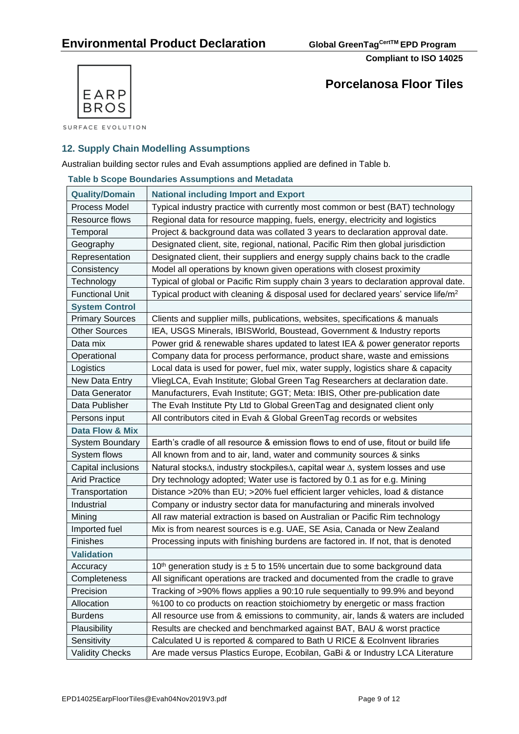

**Porcelanosa Floor Tiles**

SURFACE EVOLUTION

## **12. Supply Chain Modelling Assumptions**

Australian building sector rules and Evah assumptions applied are defined in Table b.

#### **Table b Scope Boundaries Assumptions and Metadata**

| <b>Quality/Domain</b>  | <b>National including Import and Export</b>                                                   |
|------------------------|-----------------------------------------------------------------------------------------------|
| Process Model          | Typical industry practice with currently most common or best (BAT) technology                 |
| Resource flows         | Regional data for resource mapping, fuels, energy, electricity and logistics                  |
| Temporal               | Project & background data was collated 3 years to declaration approval date.                  |
| Geography              | Designated client, site, regional, national, Pacific Rim then global jurisdiction             |
| Representation         | Designated client, their suppliers and energy supply chains back to the cradle                |
| Consistency            | Model all operations by known given operations with closest proximity                         |
| Technology             | Typical of global or Pacific Rim supply chain 3 years to declaration approval date.           |
| <b>Functional Unit</b> | Typical product with cleaning & disposal used for declared years' service life/m <sup>2</sup> |
| <b>System Control</b>  |                                                                                               |
| <b>Primary Sources</b> | Clients and supplier mills, publications, websites, specifications & manuals                  |
| <b>Other Sources</b>   | IEA, USGS Minerals, IBISWorld, Boustead, Government & Industry reports                        |
| Data mix               | Power grid & renewable shares updated to latest IEA & power generator reports                 |
| Operational            | Company data for process performance, product share, waste and emissions                      |
| Logistics              | Local data is used for power, fuel mix, water supply, logistics share & capacity              |
| New Data Entry         | VliegLCA, Evah Institute; Global Green Tag Researchers at declaration date.                   |
| Data Generator         | Manufacturers, Evah Institute; GGT; Meta: IBIS, Other pre-publication date                    |
| Data Publisher         | The Evah Institute Pty Ltd to Global GreenTag and designated client only                      |
| Persons input          | All contributors cited in Evah & Global GreenTag records or websites                          |
| Data Flow & Mix        |                                                                                               |
| <b>System Boundary</b> | Earth's cradle of all resource & emission flows to end of use, fitout or build life           |
| System flows           | All known from and to air, land, water and community sources & sinks                          |
| Capital inclusions     | Natural stocks∆, industry stockpiles∆, capital wear ∆, system losses and use                  |
| <b>Arid Practice</b>   | Dry technology adopted; Water use is factored by 0.1 as for e.g. Mining                       |
| Transportation         | Distance >20% than EU; >20% fuel efficient larger vehicles, load & distance                   |
| Industrial             | Company or industry sector data for manufacturing and minerals involved                       |
| Mining                 | All raw material extraction is based on Australian or Pacific Rim technology                  |
| Imported fuel          | Mix is from nearest sources is e.g. UAE, SE Asia, Canada or New Zealand                       |
| Finishes               | Processing inputs with finishing burdens are factored in. If not, that is denoted             |
| <b>Validation</b>      |                                                                                               |
| Accuracy               | 10 <sup>th</sup> generation study is $\pm$ 5 to 15% uncertain due to some background data     |
| Completeness           | All significant operations are tracked and documented from the cradle to grave                |
| Precision              | Tracking of >90% flows applies a 90:10 rule sequentially to 99.9% and beyond                  |
| Allocation             | %100 to co products on reaction stoichiometry by energetic or mass fraction                   |
| <b>Burdens</b>         | All resource use from & emissions to community, air, lands & waters are included              |
| Plausibility           | Results are checked and benchmarked against BAT, BAU & worst practice                         |
| Sensitivity            | Calculated U is reported & compared to Bath U RICE & Ecolnvent libraries                      |
| <b>Validity Checks</b> | Are made versus Plastics Europe, Ecobilan, GaBi & or Industry LCA Literature                  |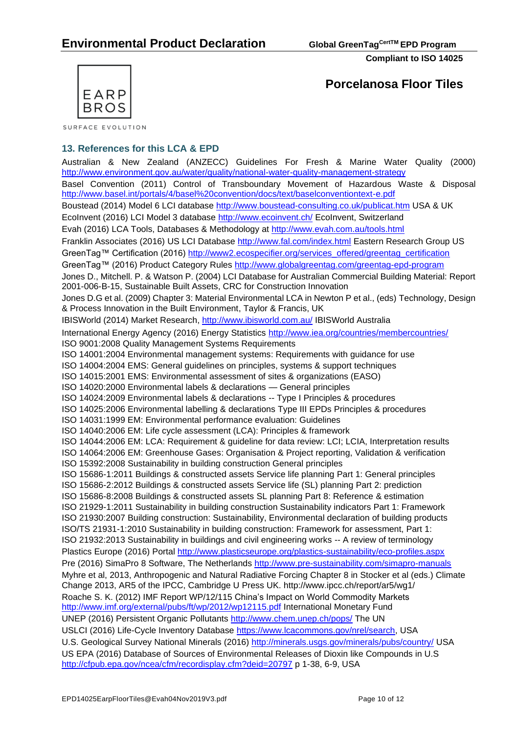

SURFACE EVOLUTION

## **13. References for this LCA & EPD**

Australian & New Zealand [\(ANZECC\) Guidelines For Fresh & Marine Water Quality](http://www.environment.gov.au/topics/water/water-quality/national-water-quality-management-strategy) (2000) <http://www.environment.gov.au/water/quality/national-water-quality-management-strategy> Basel Convention (2011) Control of Transboundary Movement of Hazardous Waste & Disposal <http://www.basel.int/portals/4/basel%20convention/docs/text/baselconventiontext-e.pdf> Boustead (2014) Model 6 LCI database<http://www.boustead-consulting.co.uk/publicat.htm> USA & UK EcoInvent (2016) LCI Model 3 database<http://www.ecoinvent.ch/> EcoInvent, Switzerland Evah (2016) LCA Tools, Databases & Methodology at<http://www.evah.com.au/tools.html> Franklin Associates (2016) US LCI Database <http://www.fal.com/index.html> Eastern Research Group US GreenTag™ Certification (2016) [http://www2.ecospecifier.org/services\\_offered/greentag\\_certification](http://www2.ecospecifier.org/services_offered/greentag_certification) GreenTag™ (2016) Product Category Rules<http://www.globalgreentag.com/greentag-epd-program> Jones D., Mitchell. P. & Watson P. (2004) LCI Database for Australian Commercial Building Material: Report 2001-006-B-15, Sustainable Built Assets, CRC for Construction Innovation Jones D.G et al. (2009) Chapter 3: Material Environmental LCA in Newton P et al., (eds) Technology, Design & Process Innovation in the Built Environment, Taylor & Francis, UK IBISWorld (2014) Market Research,<http://www.ibisworld.com.au/> IBISWorld Australia International Energy Agency (2016) Energy Statistics<http://www.iea.org/countries/membercountries/> ISO 9001:2008 Quality Management Systems Requirements ISO 14001:2004 Environmental management systems: Requirements with guidance for use ISO 14004:2004 EMS: General guidelines on principles, systems & support techniques ISO 14015:2001 EMS: Environmental assessment of sites & organizations (EASO) ISO 14020:2000 Environmental labels & declarations — General principles ISO 14024:2009 Environmental labels & declarations -- Type I Principles & procedures ISO 14025:2006 Environmental labelling & declarations Type III EPDs Principles & procedures ISO 14031:1999 EM: Environmental performance evaluation: Guidelines ISO 14040:2006 EM: Life cycle assessment (LCA): Principles & framework ISO 14044:2006 EM: LCA: Requirement & guideline for data review: LCI; LCIA, Interpretation results ISO 14064:2006 EM: Greenhouse Gases: Organisation & Project reporting, Validation & verification ISO 15392:2008 Sustainability in building construction General principles ISO 15686-1:2011 Buildings & constructed assets Service life planning Part 1: General principles ISO 15686-2:2012 Buildings & constructed assets Service life (SL) planning Part 2: prediction ISO 15686-8:2008 Buildings & constructed assets SL planning Part 8: Reference & estimation ISO 21929-1:2011 Sustainability in building construction Sustainability indicators Part 1: Framework ISO 21930:2007 Building construction: Sustainability, Environmental declaration of building products ISO/TS 21931-1:2010 Sustainability in building construction: Framework for assessment, Part 1: ISO 21932:2013 Sustainability in buildings and civil engineering works -- A review of terminology Plastics Europe (2016) Portal<http://www.plasticseurope.org/plastics-sustainability/eco-profiles.aspx> Pre (2016) SimaPro 8 Software, The Netherlands<http://www.pre-sustainability.com/simapro-manuals> Myhre et al, 2013, Anthropogenic and Natural Radiative Forcing Chapter 8 in Stocker et al (eds.) Climate Change 2013, AR5 of the IPCC, Cambridge U Press UK.<http://www.ipcc.ch/report/ar5/wg1/> Roache S. K. (2012) IMF Report WP/12/115 China's Impact on World Commodity Markets <http://www.imf.org/external/pubs/ft/wp/2012/wp12115.pdf> International Monetary Fund UNEP (2016) Persistent Organic Pollutants<http://www.chem.unep.ch/pops/> The UN USLCI (2016) Life-Cycle Inventory Database [https://www.lcacommons.gov/nrel/search,](https://www.lcacommons.gov/nrel/search) USA U.S. Geological Survey National Minerals (2016)<http://minerals.usgs.gov/minerals/pubs/country/> USA US EPA (2016) Database of Sources of Environmental Releases of Dioxin like Compounds in U.S <http://cfpub.epa.gov/ncea/cfm/recordisplay.cfm?deid=20797> p 1-38, 6-9, USA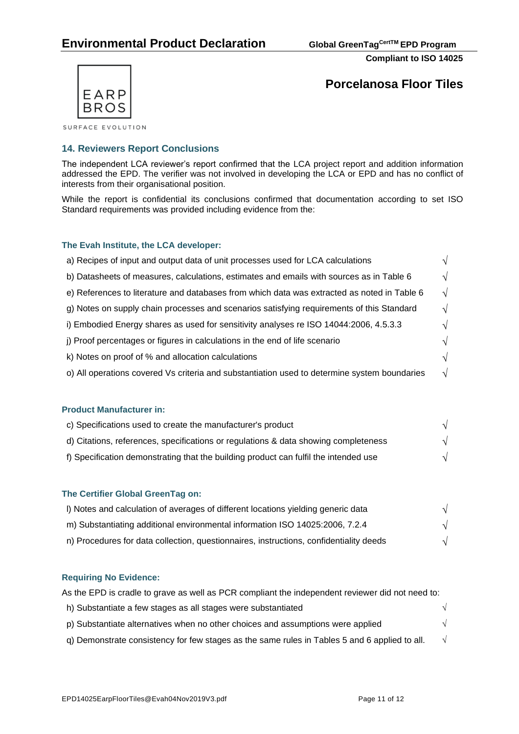

**Porcelanosa Floor Tiles**

## **14. Reviewers Report Conclusions**

The independent LCA reviewer's report confirmed that the LCA project report and addition information addressed the EPD. The verifier was not involved in developing the LCA or EPD and has no conflict of interests from their organisational position.

While the report is confidential its conclusions confirmed that documentation according to set ISO Standard requirements was provided including evidence from the:

#### **The Evah Institute, the LCA developer:**

| a) Recipes of input and output data of unit processes used for LCA calculations              |    |
|----------------------------------------------------------------------------------------------|----|
| b) Datasheets of measures, calculations, estimates and emails with sources as in Table 6     | ٦I |
| e) References to literature and databases from which data was extracted as noted in Table 6  | V  |
| g) Notes on supply chain processes and scenarios satisfying requirements of this Standard    |    |
| i) Embodied Energy shares as used for sensitivity analyses re ISO 14044:2006, 4.5.3.3        |    |
| j) Proof percentages or figures in calculations in the end of life scenario                  |    |
| k) Notes on proof of % and allocation calculations                                           |    |
| o) All operations covered Vs criteria and substantiation used to determine system boundaries |    |

## **Product Manufacturer in:**

| c) Specifications used to create the manufacturer's product                          |  |
|--------------------------------------------------------------------------------------|--|
| d) Citations, references, specifications or regulations & data showing completeness  |  |
| f) Specification demonstrating that the building product can fulfil the intended use |  |

#### **The Certifier Global GreenTag on:**

| I) Notes and calculation of averages of different locations yielding generic data      |  |
|----------------------------------------------------------------------------------------|--|
| m) Substantiating additional environmental information ISO 14025:2006, 7.2.4           |  |
| n) Procedures for data collection, questionnaires, instructions, confidentiality deeds |  |

## **Requiring No Evidence:**

| As the EPD is cradle to grave as well as PCR compliant the independent reviewer did not need to: |            |
|--------------------------------------------------------------------------------------------------|------------|
| h) Substantiate a few stages as all stages were substantiated                                    | $\sqrt{2}$ |
| p) Substantiate alternatives when no other choices and assumptions were applied                  | $\sqrt{ }$ |
| q) Demonstrate consistency for few stages as the same rules in Tables 5 and 6 applied to all.    | $\sqrt{ }$ |